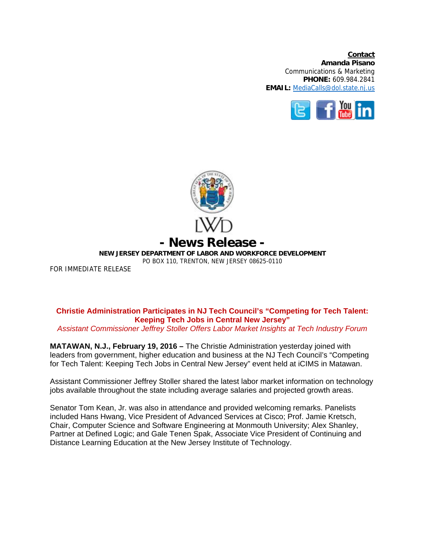**Contact Amanda Pisano**  Communications & Marketing **PHONE:** 609.984.2841 **EMAIL:** MediaCalls@dol.state.nj.us





FOR IMMEDIATE RELEASE

## **Christie Administration Participates in NJ Tech Council's "Competing for Tech Talent: Keeping Tech Jobs in Central New Jersey"**

*Assistant Commissioner Jeffrey Stoller Offers Labor Market Insights at Tech Industry Forum* 

**MATAWAN, N.J., February 19, 2016 –** The Christie Administration yesterday joined with leaders from government, higher education and business at the NJ Tech Council's "Competing for Tech Talent: Keeping Tech Jobs in Central New Jersey" event held at iCIMS in Matawan.

Assistant Commissioner Jeffrey Stoller shared the latest labor market information on technology jobs available throughout the state including average salaries and projected growth areas.

Senator Tom Kean, Jr. was also in attendance and provided welcoming remarks. Panelists included Hans Hwang, Vice President of Advanced Services at Cisco; Prof. Jamie Kretsch, Chair, Computer Science and Software Engineering at Monmouth University; Alex Shanley, Partner at Defined Logic; and Gale Tenen Spak, Associate Vice President of Continuing and Distance Learning Education at the New Jersey Institute of Technology.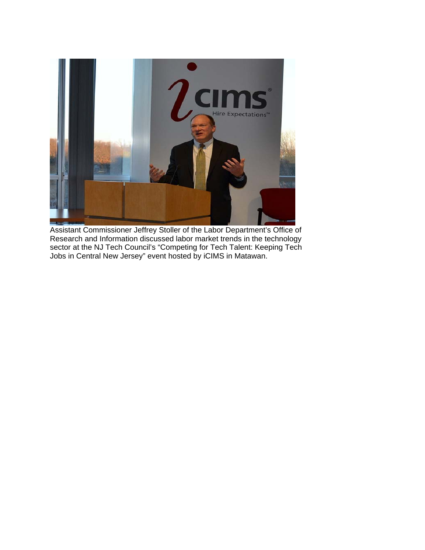

Assistant Commissioner Jeffrey Stoller of the Labor Department's Office of Research and Information discussed labor market trends in the technology sector at the NJ Tech Council's "Competing for Tech Talent: Keeping Tech Jobs in Central New Jersey" event hosted by iCIMS in Matawan.